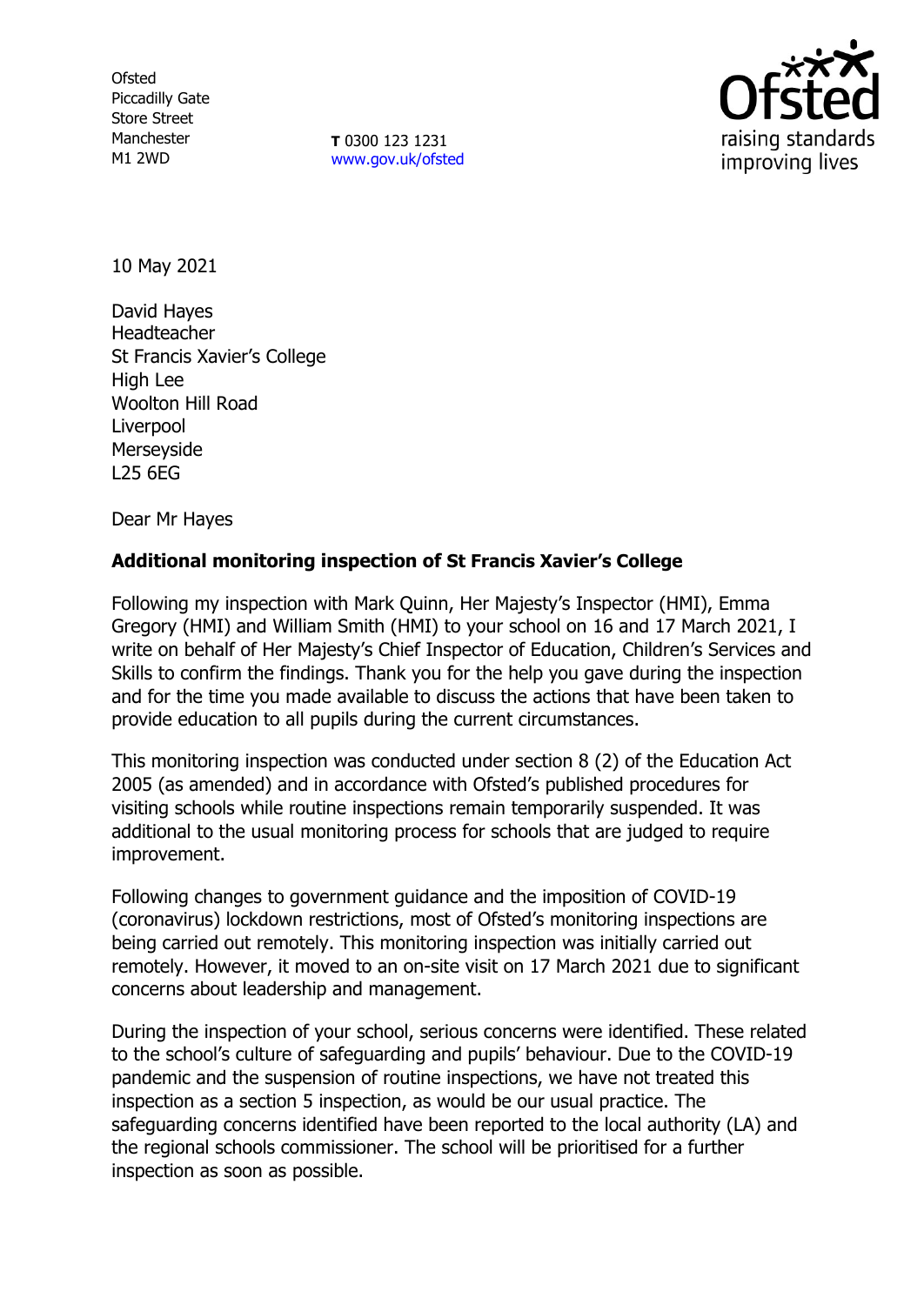**Ofsted** Piccadilly Gate Store Street Manchester M1 2WD

**T** 0300 123 1231 [www.gov.uk/ofsted](http://www.gov.uk/ofsted)



10 May 2021

David Hayes Headteacher St Francis Xavier's College High Lee Woolton Hill Road Liverpool Merseyside L25 6EG

Dear Mr Hayes

# **Additional monitoring inspection of St Francis Xavier's College**

Following my inspection with Mark Quinn, Her Majesty's Inspector (HMI), Emma Gregory (HMI) and William Smith (HMI) to your school on 16 and 17 March 2021, I write on behalf of Her Majesty's Chief Inspector of Education, Children's Services and Skills to confirm the findings. Thank you for the help you gave during the inspection and for the time you made available to discuss the actions that have been taken to provide education to all pupils during the current circumstances.

This monitoring inspection was conducted under section 8 (2) of the Education Act 2005 (as amended) and in accordance with Ofsted's published procedures for visiting schools while routine inspections remain temporarily suspended. It was additional to the usual monitoring process for schools that are judged to require improvement.

Following changes to government guidance and the imposition of COVID-19 (coronavirus) lockdown restrictions, most of Ofsted's monitoring inspections are being carried out remotely. This monitoring inspection was initially carried out remotely. However, it moved to an on-site visit on 17 March 2021 due to significant concerns about leadership and management.

During the inspection of your school, serious concerns were identified. These related to the school's culture of safeguarding and pupils' behaviour. Due to the COVID-19 pandemic and the suspension of routine inspections, we have not treated this inspection as a section 5 inspection, as would be our usual practice. The safeguarding concerns identified have been reported to the local authority (LA) and the regional schools commissioner. The school will be prioritised for a further inspection as soon as possible.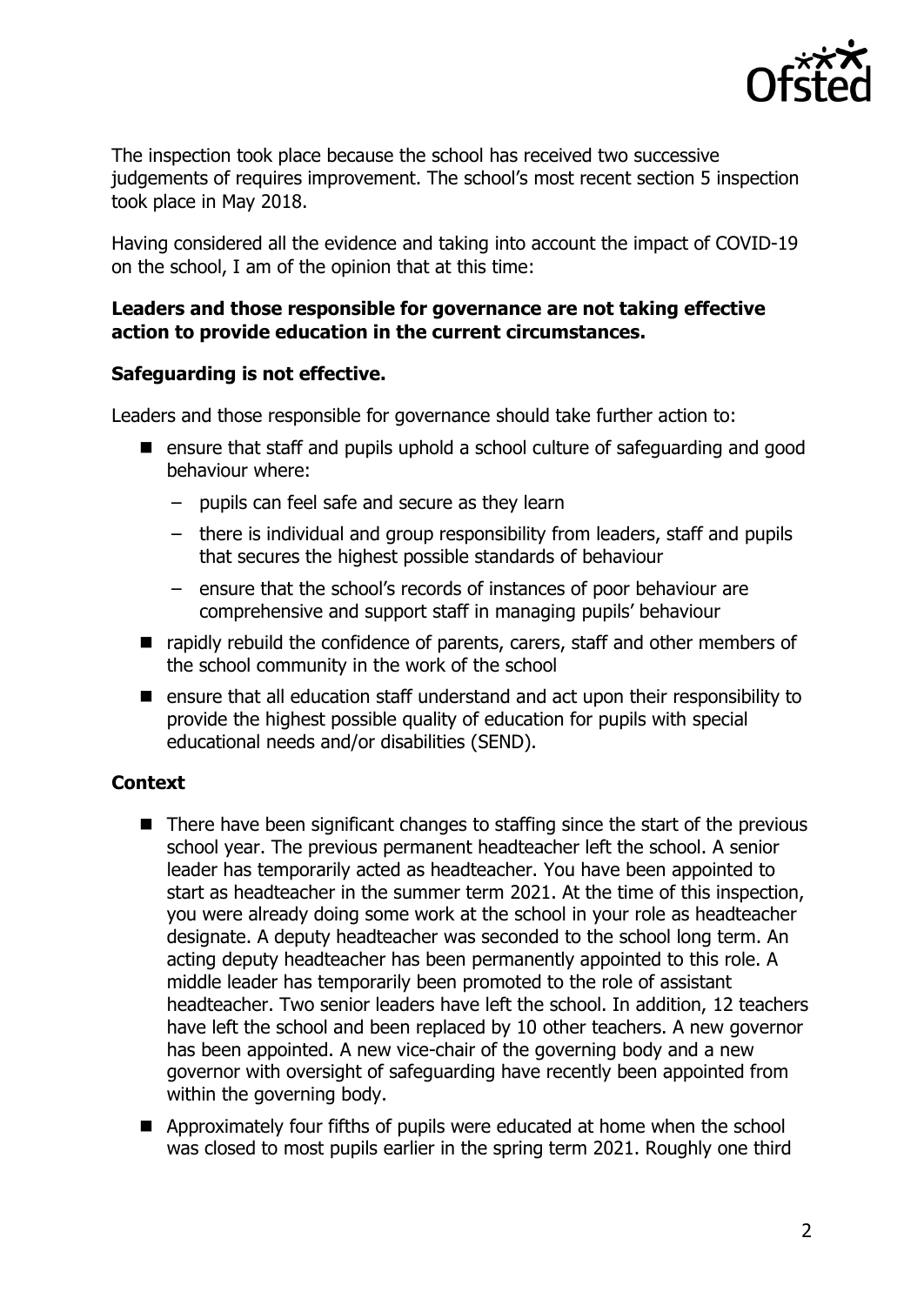

The inspection took place because the school has received two successive judgements of requires improvement. The school's most recent section 5 inspection took place in May 2018.

Having considered all the evidence and taking into account the impact of COVID-19 on the school, I am of the opinion that at this time:

## **Leaders and those responsible for governance are not taking effective action to provide education in the current circumstances.**

## **Safeguarding is not effective.**

Leaders and those responsible for governance should take further action to:

- ensure that staff and pupils uphold a school culture of safeguarding and good behaviour where:
	- pupils can feel safe and secure as they learn
	- there is individual and group responsibility from leaders, staff and pupils that secures the highest possible standards of behaviour
	- ensure that the school's records of instances of poor behaviour are comprehensive and support staff in managing pupils' behaviour
- rapidly rebuild the confidence of parents, carers, staff and other members of the school community in the work of the school
- ensure that all education staff understand and act upon their responsibility to provide the highest possible quality of education for pupils with special educational needs and/or disabilities (SEND).

# **Context**

- There have been significant changes to staffing since the start of the previous school year. The previous permanent headteacher left the school. A senior leader has temporarily acted as headteacher. You have been appointed to start as headteacher in the summer term 2021. At the time of this inspection, you were already doing some work at the school in your role as headteacher designate. A deputy headteacher was seconded to the school long term. An acting deputy headteacher has been permanently appointed to this role. A middle leader has temporarily been promoted to the role of assistant headteacher. Two senior leaders have left the school. In addition, 12 teachers have left the school and been replaced by 10 other teachers. A new governor has been appointed. A new vice-chair of the governing body and a new governor with oversight of safeguarding have recently been appointed from within the governing body.
- **E** Approximately four fifths of pupils were educated at home when the school was closed to most pupils earlier in the spring term 2021. Roughly one third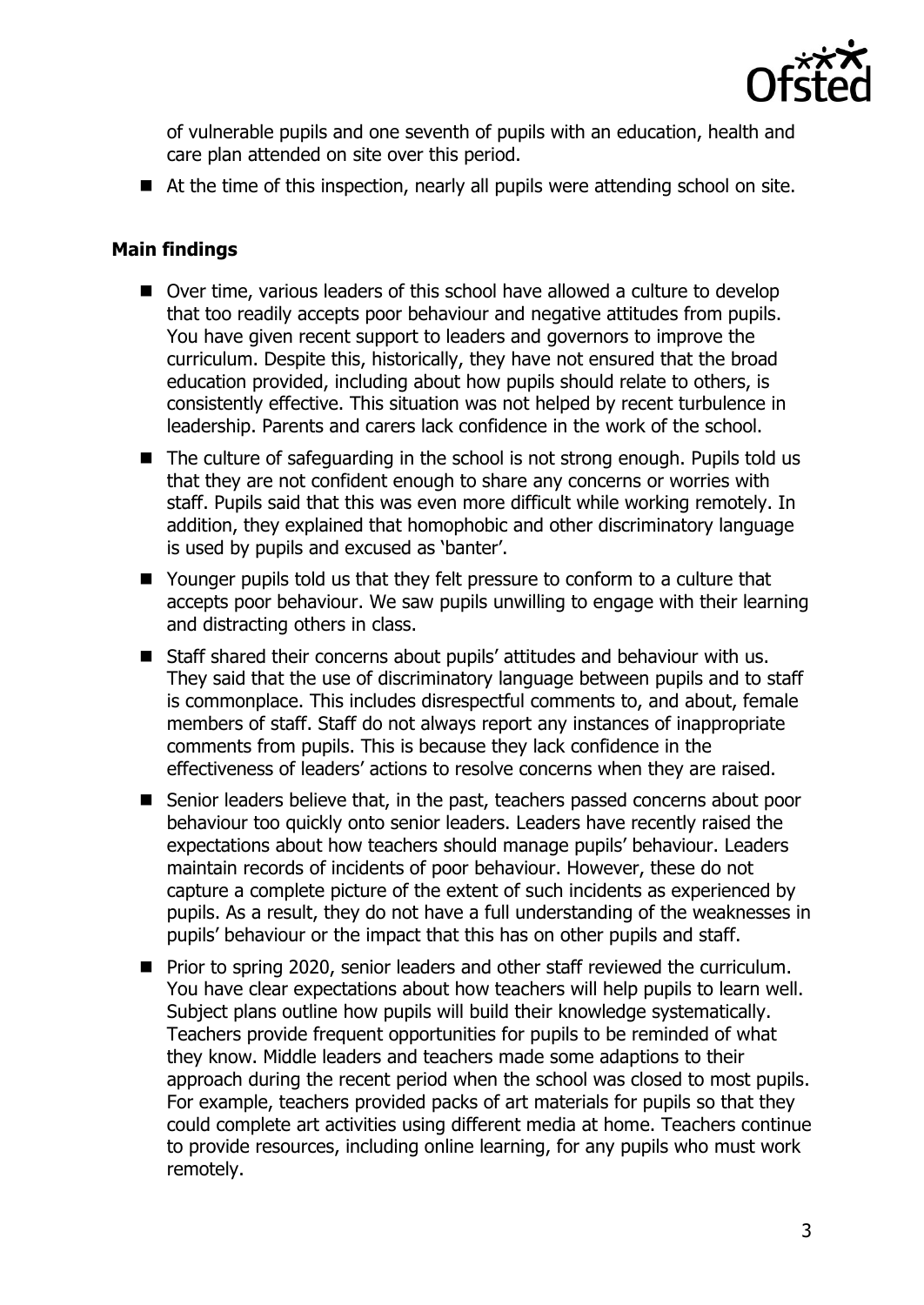

of vulnerable pupils and one seventh of pupils with an education, health and care plan attended on site over this period.

■ At the time of this inspection, nearly all pupils were attending school on site.

### **Main findings**

- Over time, various leaders of this school have allowed a culture to develop that too readily accepts poor behaviour and negative attitudes from pupils. You have given recent support to leaders and governors to improve the curriculum. Despite this, historically, they have not ensured that the broad education provided, including about how pupils should relate to others, is consistently effective. This situation was not helped by recent turbulence in leadership. Parents and carers lack confidence in the work of the school.
- The culture of safeguarding in the school is not strong enough. Pupils told us that they are not confident enough to share any concerns or worries with staff. Pupils said that this was even more difficult while working remotely. In addition, they explained that homophobic and other discriminatory language is used by pupils and excused as 'banter'.
- Younger pupils told us that they felt pressure to conform to a culture that accepts poor behaviour. We saw pupils unwilling to engage with their learning and distracting others in class.
- Staff shared their concerns about pupils' attitudes and behaviour with us. They said that the use of discriminatory language between pupils and to staff is commonplace. This includes disrespectful comments to, and about, female members of staff. Staff do not always report any instances of inappropriate comments from pupils. This is because they lack confidence in the effectiveness of leaders' actions to resolve concerns when they are raised.
- Senior leaders believe that, in the past, teachers passed concerns about poor behaviour too quickly onto senior leaders. Leaders have recently raised the expectations about how teachers should manage pupils' behaviour. Leaders maintain records of incidents of poor behaviour. However, these do not capture a complete picture of the extent of such incidents as experienced by pupils. As a result, they do not have a full understanding of the weaknesses in pupils' behaviour or the impact that this has on other pupils and staff.
- **Prior to spring 2020, senior leaders and other staff reviewed the curriculum.** You have clear expectations about how teachers will help pupils to learn well. Subject plans outline how pupils will build their knowledge systematically. Teachers provide frequent opportunities for pupils to be reminded of what they know. Middle leaders and teachers made some adaptions to their approach during the recent period when the school was closed to most pupils. For example, teachers provided packs of art materials for pupils so that they could complete art activities using different media at home. Teachers continue to provide resources, including online learning, for any pupils who must work remotely.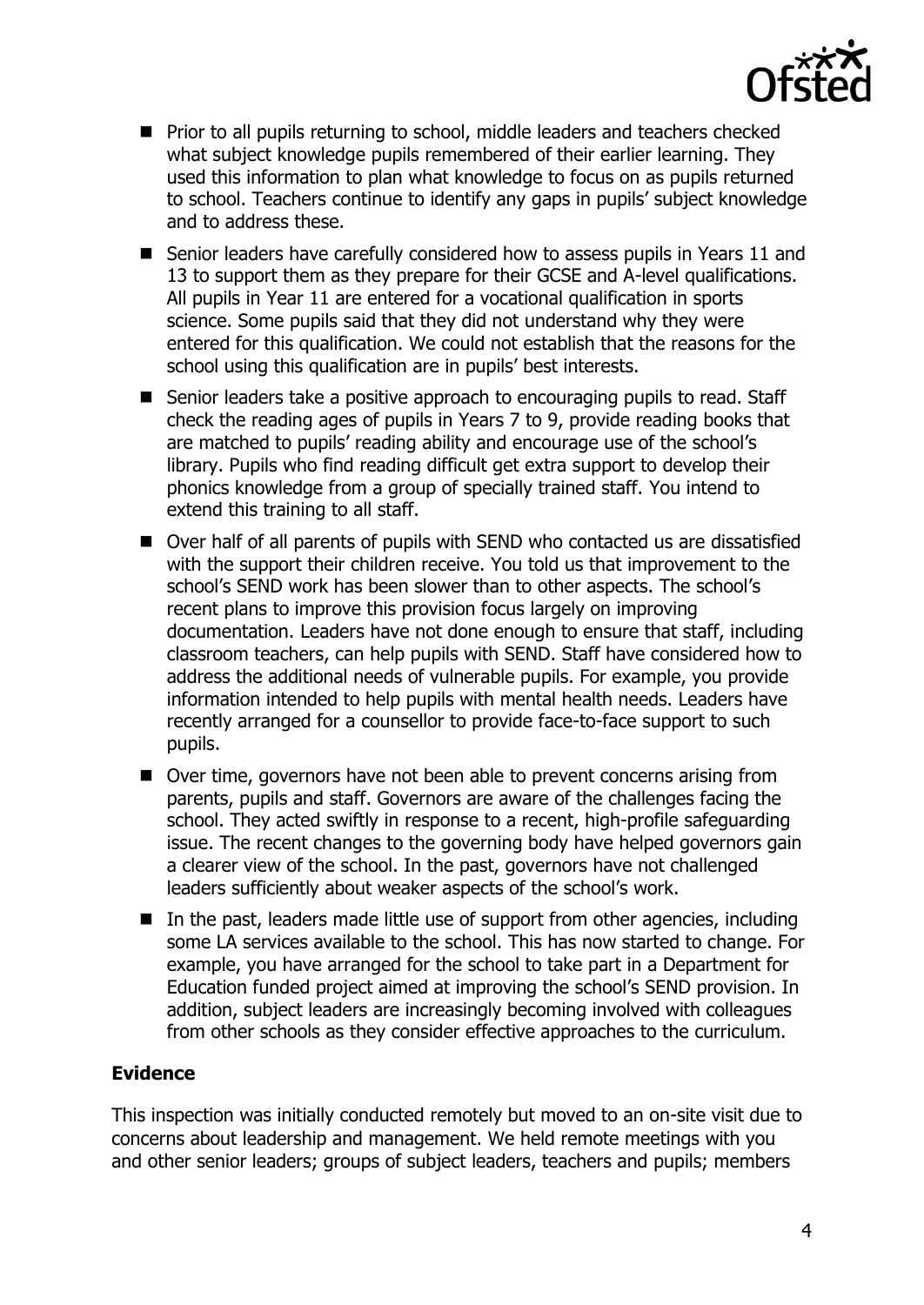

- **Prior to all pupils returning to school, middle leaders and teachers checked** what subject knowledge pupils remembered of their earlier learning. They used this information to plan what knowledge to focus on as pupils returned to school. Teachers continue to identify any gaps in pupils' subject knowledge and to address these.
- Senior leaders have carefully considered how to assess pupils in Years 11 and 13 to support them as they prepare for their GCSE and A-level qualifications. All pupils in Year 11 are entered for a vocational qualification in sports science. Some pupils said that they did not understand why they were entered for this qualification. We could not establish that the reasons for the school using this qualification are in pupils' best interests.
- Senior leaders take a positive approach to encouraging pupils to read. Staff check the reading ages of pupils in Years 7 to 9, provide reading books that are matched to pupils' reading ability and encourage use of the school's library. Pupils who find reading difficult get extra support to develop their phonics knowledge from a group of specially trained staff. You intend to extend this training to all staff.
- Over half of all parents of pupils with SEND who contacted us are dissatisfied with the support their children receive. You told us that improvement to the school's SEND work has been slower than to other aspects. The school's recent plans to improve this provision focus largely on improving documentation. Leaders have not done enough to ensure that staff, including classroom teachers, can help pupils with SEND. Staff have considered how to address the additional needs of vulnerable pupils. For example, you provide information intended to help pupils with mental health needs. Leaders have recently arranged for a counsellor to provide face-to-face support to such pupils.
- Over time, governors have not been able to prevent concerns arising from parents, pupils and staff. Governors are aware of the challenges facing the school. They acted swiftly in response to a recent, high-profile safeguarding issue. The recent changes to the governing body have helped governors gain a clearer view of the school. In the past, governors have not challenged leaders sufficiently about weaker aspects of the school's work.
- $\blacksquare$  In the past, leaders made little use of support from other agencies, including some LA services available to the school. This has now started to change. For example, you have arranged for the school to take part in a Department for Education funded project aimed at improving the school's SEND provision. In addition, subject leaders are increasingly becoming involved with colleagues from other schools as they consider effective approaches to the curriculum.

## **Evidence**

This inspection was initially conducted remotely but moved to an on-site visit due to concerns about leadership and management. We held remote meetings with you and other senior leaders; groups of subject leaders, teachers and pupils; members